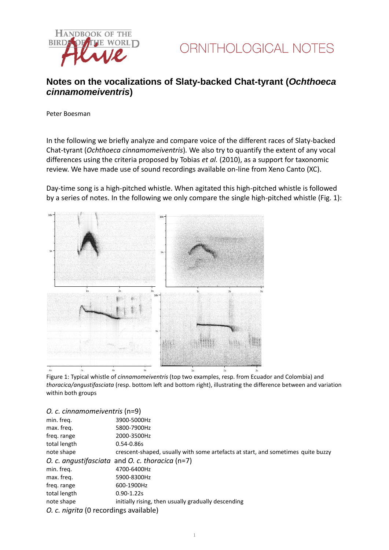



## **Notes on the vocalizations of Slaty-backed Chat-tyrant (***Ochthoeca cinnamomeiventris***)**

Peter Boesman

In the following we briefly analyze and compare voice of the different races of Slaty-backed Chat-tyrant (*Ochthoeca cinnamomeiventris*)*.* We also try to quantify the extent of any vocal differences using the criteria proposed by Tobias *et al.* (2010), as a support for taxonomic review. We have made use of sound recordings available on-line from Xeno Canto (XC).

Day-time song is a high-pitched whistle. When agitated this high-pitched whistle is followed by a series of notes. In the following we only compare the single high-pitched whistle (Fig. 1):



Figure 1: Typical whistle of *cinnamomeiventris* (top two examples, resp. from Ecuador and Colombia) and *thoracica/angustifasciata* (resp. bottom left and bottom right), illustrating the difference between and variation within both groups

#### *O. c. cinnamomeiventris* (n=9)

| min. freq.                             | 3900-5000Hz                                                                      |
|----------------------------------------|----------------------------------------------------------------------------------|
| max. freq.                             | 5800-7900Hz                                                                      |
| freq. range                            | 2000-3500Hz                                                                      |
| total length                           | $0.54 - 0.86s$                                                                   |
| note shape                             | crescent-shaped, usually with some artefacts at start, and sometimes quite buzzy |
|                                        | O. c. angustifasciata and O. c. thoracica $(n=7)$                                |
| min. freg.                             | 4700-6400Hz                                                                      |
| max. freq.                             | 5900-8300Hz                                                                      |
| freq. range                            | 600-1900Hz                                                                       |
| total length                           | $0.90 - 1.22s$                                                                   |
| note shape                             | initially rising, then usually gradually descending                              |
| O. c. nigrita (0 recordings available) |                                                                                  |